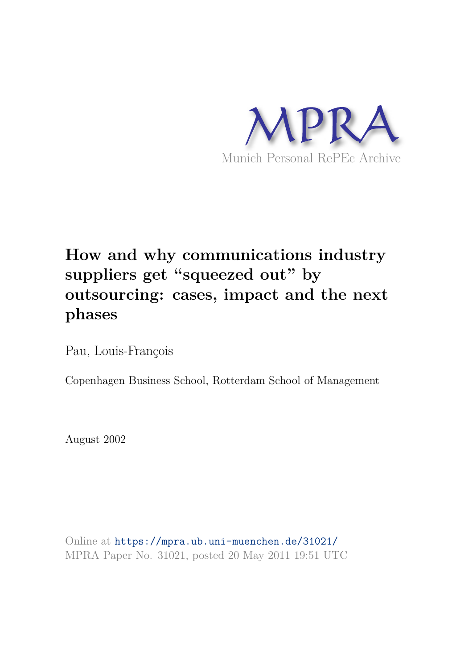

# **How and why communications industry suppliers get "squeezed out" by outsourcing: cases, impact and the next phases**

Pau, Louis-François

Copenhagen Business School, Rotterdam School of Management

August 2002

Online at https://mpra.ub.uni-muenchen.de/31021/ MPRA Paper No. 31021, posted 20 May 2011 19:51 UTC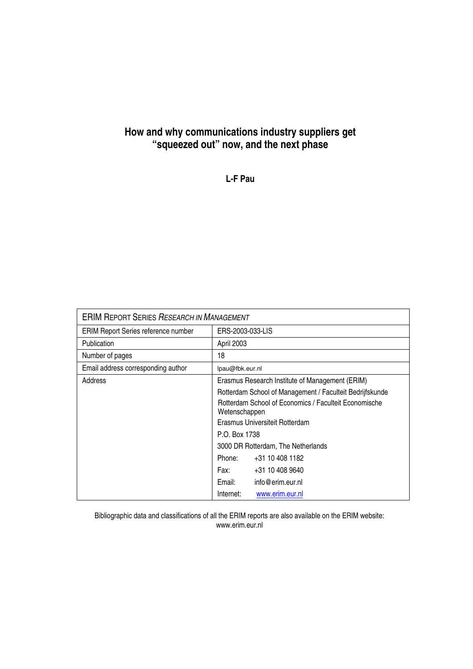#### **How and why communications industry suppliers get "squeezed out" now, and the next phase**

**L-F Pau** 

| <b>ERIM REPORT SERIES RESEARCH IN MANAGEMENT</b> |                                                                        |                                                          |  |
|--------------------------------------------------|------------------------------------------------------------------------|----------------------------------------------------------|--|
| ERIM Report Series reference number              | ERS-2003-033-LIS                                                       |                                                          |  |
| <b>Publication</b>                               | April 2003                                                             |                                                          |  |
| Number of pages                                  | 18                                                                     |                                                          |  |
| Email address corresponding author               | lpau@fbk.eur.nl                                                        |                                                          |  |
| Address                                          |                                                                        | Erasmus Research Institute of Management (ERIM)          |  |
|                                                  |                                                                        | Rotterdam School of Management / Faculteit Bedrijfskunde |  |
|                                                  | Rotterdam School of Economics / Faculteit Economische<br>Wetenschappen |                                                          |  |
|                                                  | Erasmus Universiteit Rotterdam                                         |                                                          |  |
|                                                  | P.O. Box 1738                                                          |                                                          |  |
|                                                  |                                                                        | 3000 DR Rotterdam, The Netherlands                       |  |
|                                                  | Phone:<br>+31 10 408 1182                                              |                                                          |  |
|                                                  | Fax:<br>+31 10 408 9640                                                |                                                          |  |
|                                                  | Email:                                                                 | info@erim.eur.nl                                         |  |
|                                                  | Internet:                                                              | www.erim.eur.nl                                          |  |

Bibliographic data and classifications of all the ERIM reports are also available on the ERIM website: www.erim.eur.nl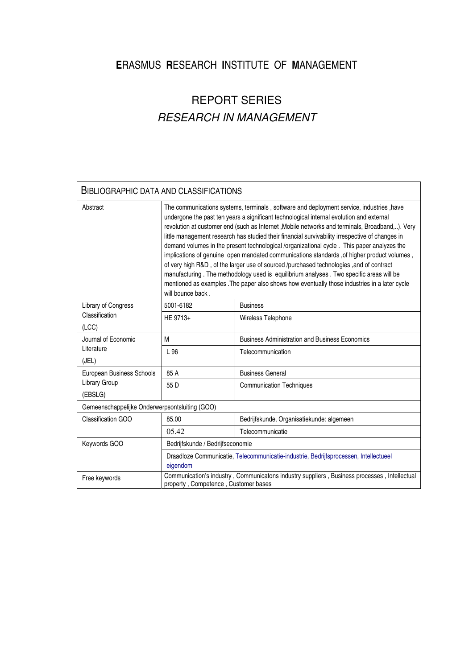#### **E**RASMUS **R**ESEARCH **I**NSTITUTE OF **M**ANAGEMENT

## REPORT SERIES *RESEARCH IN MANAGEMENT*

#### BIBLIOGRAPHIC DATA AND CLASSIFICATIONS Abstract The communications systems, terminals , software and deployment service, industries , have undergone the past ten years a significant technological internal evolution and external revolution at customer end (such as Internet ,Mobile networks and terminals, Broadband,..). Very little management research has studied their financial survivability irrespective of changes in demand volumes in the present technological /organizational cycle . This paper analyzes the implications of genuine open mandated communications standards , of higher product volumes , of very high R&D , of the larger use of sourced /purchased technologies ,and of contract manufacturing . The methodology used is equilibrium analyses . Two specific areas will be mentioned as examples .The paper also shows how eventually those industries in a later cycle will bounce back. Library of Congress 5001-6182 Business Classification (LCC) HE 9713+ Wireless Telephone Journal of Economic M Business Administration and Business Economics Literature (JEL) L 96 **Telecommunication** European Business Schools | 85 A | Business General Library Group (EBSLG) 55 D Communication Techniques Gemeenschappelijke Onderwerpsontsluiting (GOO) Classification GOO 85.00 Bedrijfskunde, Organisatiekunde: algemeen 05.42 Telecommunicatie Keywords GOO Bedrijfskunde / Bedrijfseconomie Draadloze Communicatie, Telecommunicatie-industrie, Bedrijfsprocessen, Intellectueel eigendom Free keywords Communication's industry , Communicatons industry suppliers , Business processes , Intellectual property , Competence , Customer bases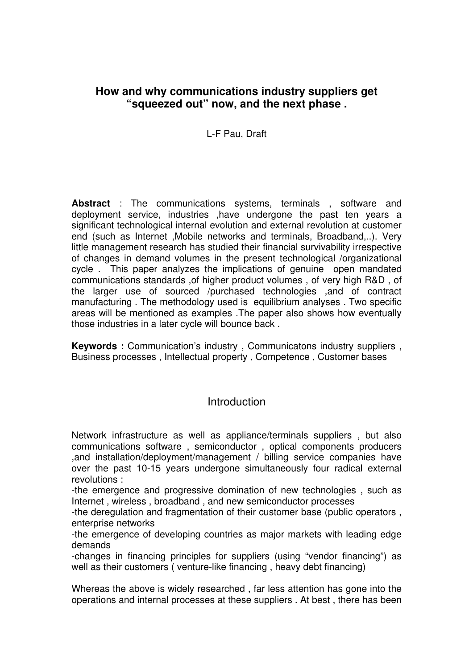#### **How and why communications industry suppliers get "squeezed out" now, and the next phase .**

#### L-F Pau, Draft

**Abstract** : The communications systems, terminals , software and deployment service, industries ,have undergone the past ten years a significant technological internal evolution and external revolution at customer end (such as Internet ,Mobile networks and terminals, Broadband,..). Very little management research has studied their financial survivability irrespective of changes in demand volumes in the present technological /organizational cycle . This paper analyzes the implications of genuine open mandated communications standards ,of higher product volumes , of very high R&D , of the larger use of sourced /purchased technologies ,and of contract manufacturing . The methodology used is equilibrium analyses . Two specific areas will be mentioned as examples .The paper also shows how eventually those industries in a later cycle will bounce back .

**Keywords :** Communication's industry , Communicatons industry suppliers , Business processes , Intellectual property , Competence , Customer bases

#### **Introduction**

Network infrastructure as well as appliance/terminals suppliers , but also communications software , semiconductor , optical components producers ,and installation/deployment/management / billing service companies have over the past 10-15 years undergone simultaneously four radical external revolutions :

-the emergence and progressive domination of new technologies , such as Internet , wireless , broadband , and new semiconductor processes

-the deregulation and fragmentation of their customer base (public operators , enterprise networks

-the emergence of developing countries as major markets with leading edge demands

-changes in financing principles for suppliers (using "vendor financing") as well as their customers ( venture-like financing , heavy debt financing)

Whereas the above is widely researched , far less attention has gone into the operations and internal processes at these suppliers . At best , there has been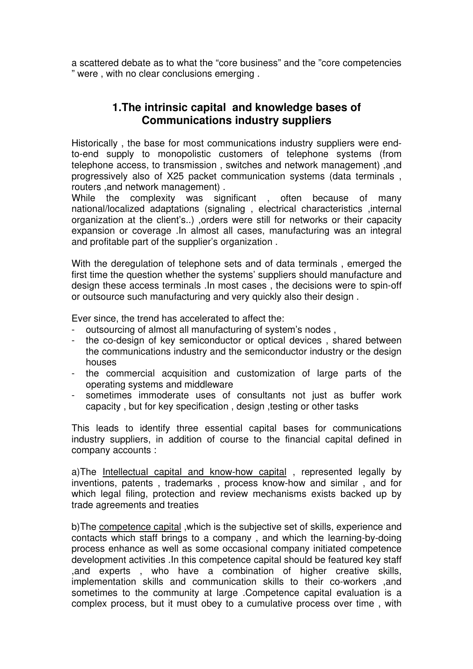a scattered debate as to what the "core business" and the "core competencies " were , with no clear conclusions emerging .

#### **1.The intrinsic capital and knowledge bases of Communications industry suppliers**

Historically , the base for most communications industry suppliers were endto-end supply to monopolistic customers of telephone systems (from telephone access, to transmission , switches and network management) ,and progressively also of X25 packet communication systems (data terminals , routers ,and network management) .

While the complexity was significant , often because of many national/localized adaptations (signaling , electrical characteristics ,internal organization at the client's..) ,orders were still for networks or their capacity expansion or coverage .In almost all cases, manufacturing was an integral and profitable part of the supplier's organization .

With the deregulation of telephone sets and of data terminals , emerged the first time the question whether the systems' suppliers should manufacture and design these access terminals .In most cases , the decisions were to spin-off or outsource such manufacturing and very quickly also their design .

Ever since, the trend has accelerated to affect the:

- outsourcing of almost all manufacturing of system's nodes ,
- the co-design of key semiconductor or optical devices, shared between the communications industry and the semiconductor industry or the design houses
- the commercial acquisition and customization of large parts of the operating systems and middleware
- sometimes immoderate uses of consultants not just as buffer work capacity , but for key specification , design ,testing or other tasks

This leads to identify three essential capital bases for communications industry suppliers, in addition of course to the financial capital defined in company accounts :

a)The Intellectual capital and know-how capital , represented legally by inventions, patents , trademarks , process know-how and similar , and for which legal filing, protection and review mechanisms exists backed up by trade agreements and treaties

b)The competence capital ,which is the subjective set of skills, experience and contacts which staff brings to a company , and which the learning-by-doing process enhance as well as some occasional company initiated competence development activities .In this competence capital should be featured key staff ,and experts , who have a combination of higher creative skills, implementation skills and communication skills to their co-workers ,and sometimes to the community at large .Competence capital evaluation is a complex process, but it must obey to a cumulative process over time , with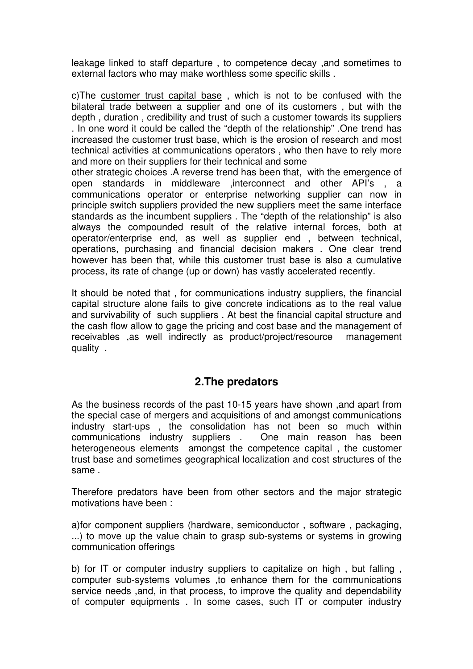leakage linked to staff departure , to competence decay ,and sometimes to external factors who may make worthless some specific skills .

c)The customer trust capital base , which is not to be confused with the bilateral trade between a supplier and one of its customers , but with the depth , duration , credibility and trust of such a customer towards its suppliers . In one word it could be called the "depth of the relationship" .One trend has increased the customer trust base, which is the erosion of research and most technical activities at communications operators , who then have to rely more and more on their suppliers for their technical and some

other strategic choices .A reverse trend has been that, with the emergence of open standards in middleware ,interconnect and other API's , a communications operator or enterprise networking supplier can now in principle switch suppliers provided the new suppliers meet the same interface standards as the incumbent suppliers . The "depth of the relationship" is also always the compounded result of the relative internal forces, both at operator/enterprise end, as well as supplier end , between technical, operations, purchasing and financial decision makers . One clear trend however has been that, while this customer trust base is also a cumulative process, its rate of change (up or down) has vastly accelerated recently.

It should be noted that , for communications industry suppliers, the financial capital structure alone fails to give concrete indications as to the real value and survivability of such suppliers . At best the financial capital structure and the cash flow allow to gage the pricing and cost base and the management of receivables ,as well indirectly as product/project/resource management quality .

#### **2.The predators**

As the business records of the past 10-15 years have shown ,and apart from the special case of mergers and acquisitions of and amongst communications industry start-ups , the consolidation has not been so much within communications industry suppliers . One main reason has been heterogeneous elements amongst the competence capital , the customer trust base and sometimes geographical localization and cost structures of the same .

Therefore predators have been from other sectors and the major strategic motivations have been :

a)for component suppliers (hardware, semiconductor , software , packaging, ...) to move up the value chain to grasp sub-systems or systems in growing communication offerings

b) for IT or computer industry suppliers to capitalize on high , but falling , computer sub-systems volumes ,to enhance them for the communications service needs ,and, in that process, to improve the quality and dependability of computer equipments . In some cases, such IT or computer industry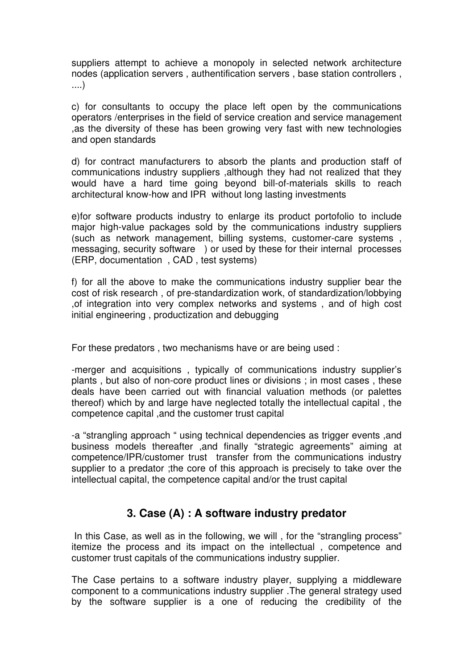suppliers attempt to achieve a monopoly in selected network architecture nodes (application servers , authentification servers , base station controllers , ....)

c) for consultants to occupy the place left open by the communications operators /enterprises in the field of service creation and service management ,as the diversity of these has been growing very fast with new technologies and open standards

d) for contract manufacturers to absorb the plants and production staff of communications industry suppliers ,although they had not realized that they would have a hard time going beyond bill-of-materials skills to reach architectural know-how and IPR without long lasting investments

e)for software products industry to enlarge its product portofolio to include major high-value packages sold by the communications industry suppliers (such as network management, billing systems, customer-care systems , messaging, security software ) or used by these for their internal processes (ERP, documentation , CAD , test systems)

f) for all the above to make the communications industry supplier bear the cost of risk research , of pre-standardization work, of standardization/lobbying ,of integration into very complex networks and systems , and of high cost initial engineering , productization and debugging

For these predators , two mechanisms have or are being used :

-merger and acquisitions , typically of communications industry supplier's plants , but also of non-core product lines or divisions ; in most cases , these deals have been carried out with financial valuation methods (or palettes thereof) which by and large have neglected totally the intellectual capital , the competence capital ,and the customer trust capital

-a "strangling approach " using technical dependencies as trigger events ,and business models thereafter ,and finally "strategic agreements" aiming at competence/IPR/customer trust transfer from the communications industry supplier to a predator ;the core of this approach is precisely to take over the intellectual capital, the competence capital and/or the trust capital

#### **3. Case (A) : A software industry predator**

In this Case, as well as in the following, we will, for the "strangling process" itemize the process and its impact on the intellectual , competence and customer trust capitals of the communications industry supplier.

The Case pertains to a software industry player, supplying a middleware component to a communications industry supplier .The general strategy used by the software supplier is a one of reducing the credibility of the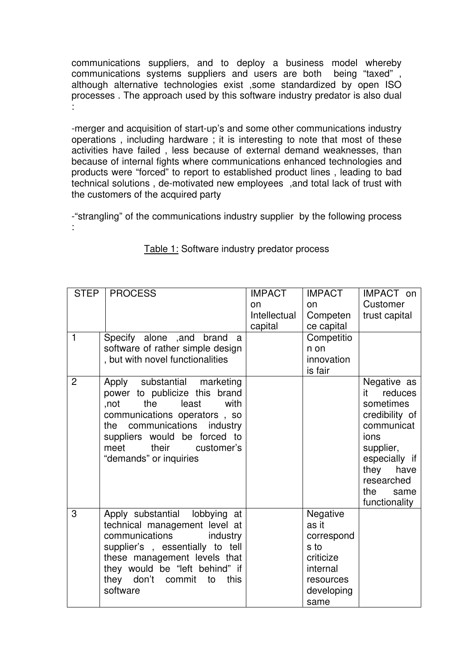communications suppliers, and to deploy a business model whereby communications systems suppliers and users are both being "taxed" although alternative technologies exist ,some standardized by open ISO processes . The approach used by this software industry predator is also dual :

-merger and acquisition of start-up's and some other communications industry operations , including hardware ; it is interesting to note that most of these activities have failed , less because of external demand weaknesses, than because of internal fights where communications enhanced technologies and products were "forced" to report to established product lines , leading to bad technical solutions , de-motivated new employees ,and total lack of trust with the customers of the acquired party

-"strangling" of the communications industry supplier by the following process :

| $\mathbf{1}$   | STEP   PROCESS<br>Specify alone , and brand a<br>software of rather simple design<br>, but with novel functionalities                                                                                                                                   | <b>IMPACT</b><br>on<br>Intellectual<br>capital | <b>IMPACT</b><br>on<br>Competen<br>ce capital<br>Competitio<br>n on<br>innovation<br>is fair               | IMPACT on<br>Customer<br>trust capital                                                                                                                                     |
|----------------|---------------------------------------------------------------------------------------------------------------------------------------------------------------------------------------------------------------------------------------------------------|------------------------------------------------|------------------------------------------------------------------------------------------------------------|----------------------------------------------------------------------------------------------------------------------------------------------------------------------------|
| $\overline{2}$ | Apply substantial marketing<br>power to publicize this brand<br>the<br>least<br>with<br>,not<br>communications operators, so<br>communications industry<br>the<br>suppliers would be forced to<br>their<br>meet<br>customer's<br>"demands" or inquiries |                                                |                                                                                                            | Negative as<br>it reduces<br>sometimes<br>credibility of<br>communicat<br>ions<br>supplier,<br>especially if<br>they<br>have<br>researched<br>the<br>same<br>functionality |
| 3              | Apply substantial lobbying at<br>technical management level at<br>communications<br>industry<br>supplier's, essentially to tell<br>these management levels that<br>they would be "left behind" if<br>they don't commit to<br>this<br>software           |                                                | <b>Negative</b><br>as it<br>correspond<br>s to<br>criticize<br>internal<br>resources<br>developing<br>same |                                                                                                                                                                            |

Table 1: Software industry predator process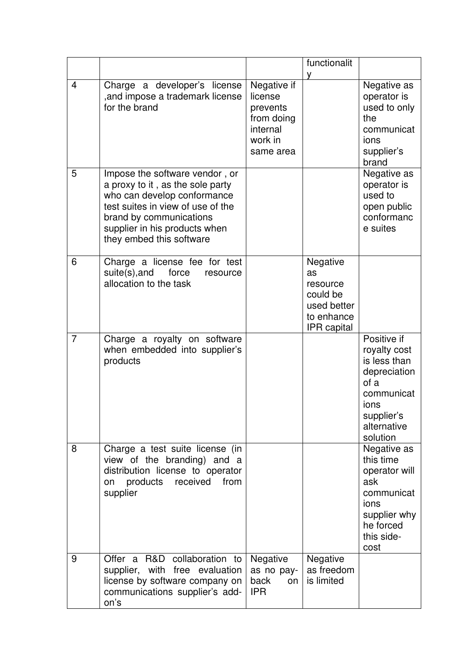|                |                                                                                                                                                                                                                                |                                                                                      | functionalit<br>v                                                                  |                                                                                                                                    |
|----------------|--------------------------------------------------------------------------------------------------------------------------------------------------------------------------------------------------------------------------------|--------------------------------------------------------------------------------------|------------------------------------------------------------------------------------|------------------------------------------------------------------------------------------------------------------------------------|
| $\overline{4}$ | Charge a developer's license<br>, and impose a trademark license<br>for the brand                                                                                                                                              | Negative if<br>license<br>prevents<br>from doing<br>internal<br>work in<br>same area |                                                                                    | Negative as<br>operator is<br>used to only<br>the<br>communicat<br>ions<br>supplier's<br>brand                                     |
| 5              | Impose the software vendor, or<br>a proxy to it, as the sole party<br>who can develop conformance<br>test suites in view of use of the<br>brand by communications<br>supplier in his products when<br>they embed this software |                                                                                      |                                                                                    | Negative as<br>operator is<br>used to<br>open public<br>conformanc<br>e suites                                                     |
| 6              | Charge a license fee for test<br>suite(s), and<br>force<br>resource<br>allocation to the task                                                                                                                                  |                                                                                      | Negative<br>as<br>resource<br>could be<br>used better<br>to enhance<br>IPR capital |                                                                                                                                    |
| $\overline{7}$ | Charge a royalty on software<br>when embedded into supplier's<br>products                                                                                                                                                      |                                                                                      |                                                                                    | Positive if<br>royalty cost<br>is less than<br>depreciation<br>of a<br>communicat<br>ions<br>supplier's<br>alternative<br>solution |
| 8              | Charge a test suite license (in<br>view of the branding) and a<br>distribution license to operator<br>received<br>from<br>products<br>on<br>supplier                                                                           |                                                                                      |                                                                                    | Negative as<br>this time<br>operator will<br>ask<br>communicat<br>ions<br>supplier why<br>he forced<br>this side-<br>cost          |
| 9              | Offer a R&D collaboration to<br>supplier, with free evaluation<br>license by software company on<br>communications supplier's add-<br>on's                                                                                     | <b>Negative</b><br>as no pay-<br>back<br>on<br><b>IPR</b>                            | Negative<br>as freedom<br>is limited                                               |                                                                                                                                    |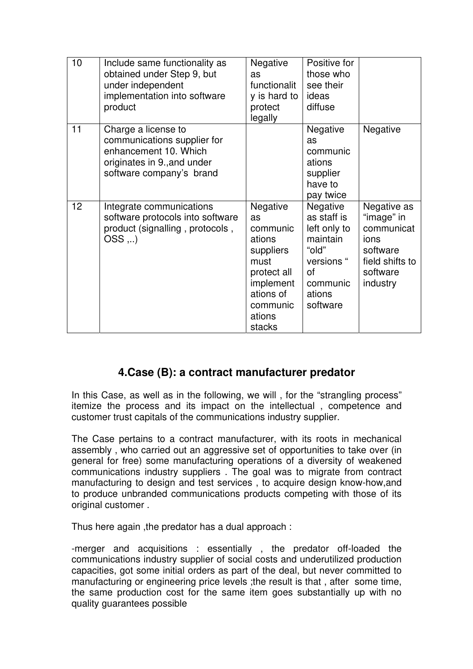| 10              | Include same functionality as<br>obtained under Step 9, but<br>under independent<br>implementation into software<br>product            | Negative<br>as<br>functionalit<br>y is hard to<br>protect<br>legally                                                               | Positive for<br>those who<br>see their<br>ideas<br>diffuse                                                                |                                                                                                        |
|-----------------|----------------------------------------------------------------------------------------------------------------------------------------|------------------------------------------------------------------------------------------------------------------------------------|---------------------------------------------------------------------------------------------------------------------------|--------------------------------------------------------------------------------------------------------|
| 11              | Charge a license to<br>communications supplier for<br>enhancement 10. Which<br>originates in 9., and under<br>software company's brand |                                                                                                                                    | Negative<br>as<br>communic<br>ations<br>supplier<br>have to<br>pay twice                                                  | Negative                                                                                               |
| 12 <sub>2</sub> | Integrate communications<br>software protocols into software<br>product (signalling, protocols,<br>$OSS$                               | Negative<br>as<br>communic<br>ations<br>suppliers<br>must<br>protect all<br>implement<br>ations of<br>communic<br>ations<br>stacks | <b>Negative</b><br>as staff is<br>left only to<br>maintain<br>"old"<br>versions "<br>of<br>communic<br>ations<br>software | Negative as<br>"image" in<br>communicat<br>ions<br>software<br>field shifts to<br>software<br>industry |

#### **4.Case (B): a contract manufacturer predator**

In this Case, as well as in the following, we will, for the "strangling process" itemize the process and its impact on the intellectual , competence and customer trust capitals of the communications industry supplier.

The Case pertains to a contract manufacturer, with its roots in mechanical assembly , who carried out an aggressive set of opportunities to take over (in general for free) some manufacturing operations of a diversity of weakened communications industry suppliers . The goal was to migrate from contract manufacturing to design and test services , to acquire design know-how,and to produce unbranded communications products competing with those of its original customer .

Thus here again ,the predator has a dual approach :

-merger and acquisitions : essentially , the predator off-loaded the communications industry supplier of social costs and underutilized production capacities, got some initial orders as part of the deal, but never committed to manufacturing or engineering price levels ;the result is that , after some time, the same production cost for the same item goes substantially up with no quality guarantees possible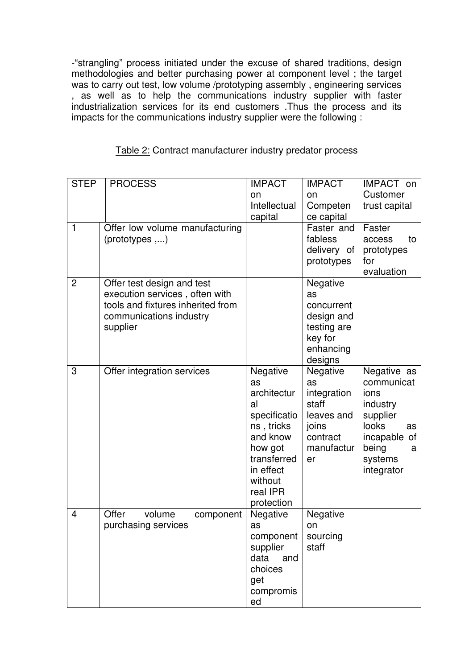-"strangling" process initiated under the excuse of shared traditions, design methodologies and better purchasing power at component level ; the target was to carry out test, low volume /prototyping assembly , engineering services , as well as to help the communications industry supplier with faster industrialization services for its end customers .Thus the process and its impacts for the communications industry supplier were the following :

| <b>STEP</b><br>$\mathbf{1}$ | <b>PROCESS</b><br>Offer low volume manufacturing<br>$(prototypes, \ldots)$                                                               | <b>IMPACT</b><br>on<br>Intellectual<br>capital                                                                                                            | <b>IMPACT</b><br>on<br>Competen<br>ce capital<br>Faster and<br>fabless<br>delivery of<br>prototypes | IMPACT on<br>Customer<br>trust capital<br>Faster<br>to<br>access<br>prototypes<br>for<br>evaluation                             |
|-----------------------------|------------------------------------------------------------------------------------------------------------------------------------------|-----------------------------------------------------------------------------------------------------------------------------------------------------------|-----------------------------------------------------------------------------------------------------|---------------------------------------------------------------------------------------------------------------------------------|
| $\overline{2}$              | Offer test design and test<br>execution services, often with<br>tools and fixtures inherited from<br>communications industry<br>supplier |                                                                                                                                                           | Negative<br>as<br>concurrent<br>design and<br>testing are<br>key for<br>enhancing<br>designs        |                                                                                                                                 |
| 3                           | Offer integration services                                                                                                               | Negative<br>as<br>architectur<br>al<br>specificatio<br>ns, tricks<br>and know<br>how got<br>transferred<br>in effect<br>without<br>real IPR<br>protection | Negative<br>as<br>integration<br>staff<br>leaves and<br>joins<br>contract<br>manufactur<br>er       | Negative as<br>communicat<br>ions<br>industry<br>supplier<br>looks<br>as<br>incapable of<br>being<br>a<br>systems<br>integrator |
| 4                           | Offer<br>volume<br>component<br>purchasing services                                                                                      | Negative<br>as<br>component<br>supplier<br>data<br>and<br>choices<br>get<br>compromis<br>ed                                                               | Negative<br>on<br>sourcing<br>staff                                                                 |                                                                                                                                 |

|  |  |  | Table 2: Contract manufacturer industry predator process |  |
|--|--|--|----------------------------------------------------------|--|
|--|--|--|----------------------------------------------------------|--|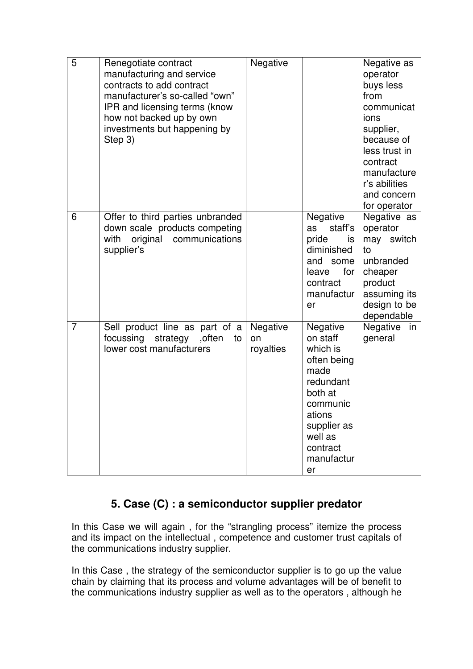| 5              | Renegotiate contract<br>manufacturing and service<br>contracts to add contract<br>manufacturer's so-called "own"<br>IPR and licensing terms (know<br>how not backed up by own<br>investments but happening by<br>Step 3) | Negative                    |                                                                                                                                                                 | Negative as<br>operator<br>buys less<br>from<br>communicat<br>ions<br>supplier,<br>because of<br>less trust in<br>contract<br>manufacture<br>r's abilities<br>and concern<br>for operator |
|----------------|--------------------------------------------------------------------------------------------------------------------------------------------------------------------------------------------------------------------------|-----------------------------|-----------------------------------------------------------------------------------------------------------------------------------------------------------------|-------------------------------------------------------------------------------------------------------------------------------------------------------------------------------------------|
| 6              | Offer to third parties unbranded<br>down scale products competing<br>with<br>original<br>communications<br>supplier's                                                                                                    |                             | Negative<br>staff's<br>as<br>pride<br>is<br>diminished<br>and some<br>for<br>leave<br>contract<br>manufactur<br>er                                              | Negative as<br>operator<br>may switch<br>to<br>unbranded<br>cheaper<br>product<br>assuming its<br>design to be<br>dependable                                                              |
| $\overline{7}$ | Sell product line as part of a<br>focussing strategy , often<br>to<br>lower cost manufacturers                                                                                                                           | Negative<br>on<br>royalties | Negative<br>on staff<br>which is<br>often being<br>made<br>redundant<br>both at<br>communic<br>ations<br>supplier as<br>well as<br>contract<br>manufactur<br>er | Negative<br>in<br>general                                                                                                                                                                 |

### **5. Case (C) : a semiconductor supplier predator**

In this Case we will again , for the "strangling process" itemize the process and its impact on the intellectual , competence and customer trust capitals of the communications industry supplier.

In this Case, the strategy of the semiconductor supplier is to go up the value chain by claiming that its process and volume advantages will be of benefit to the communications industry supplier as well as to the operators , although he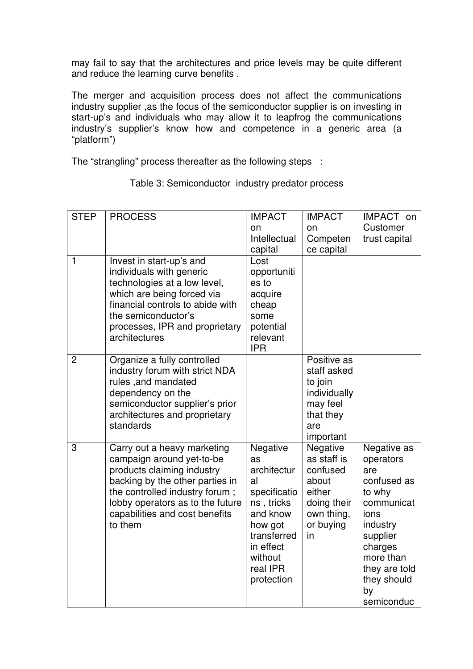may fail to say that the architectures and price levels may be quite different and reduce the learning curve benefits .

The merger and acquisition process does not affect the communications industry supplier ,as the focus of the semiconductor supplier is on investing in start-up's and individuals who may allow it to leapfrog the communications industry's supplier's know how and competence in a generic area (a "platform")

The "strangling" process thereafter as the following steps :

| <b>STEP</b>    | <b>PROCESS</b>                                                                                                                                                                                                                               | <b>IMPACT</b>                                                                                                                                             | <b>IMPACT</b>                                                                                          | IMPACT on                                                                                                                                                                          |
|----------------|----------------------------------------------------------------------------------------------------------------------------------------------------------------------------------------------------------------------------------------------|-----------------------------------------------------------------------------------------------------------------------------------------------------------|--------------------------------------------------------------------------------------------------------|------------------------------------------------------------------------------------------------------------------------------------------------------------------------------------|
|                |                                                                                                                                                                                                                                              | on<br>Intellectual                                                                                                                                        | on<br>Competen                                                                                         | Customer<br>trust capital                                                                                                                                                          |
|                |                                                                                                                                                                                                                                              | capital                                                                                                                                                   | ce capital                                                                                             |                                                                                                                                                                                    |
| $\mathbf{1}$   | Invest in start-up's and<br>individuals with generic<br>technologies at a low level,<br>which are being forced via<br>financial controls to abide with<br>the semiconductor's<br>processes, IPR and proprietary<br>architectures             | Lost<br>opportuniti<br>es to<br>acquire<br>cheap<br>some<br>potential<br>relevant<br><b>IPR</b>                                                           |                                                                                                        |                                                                                                                                                                                    |
| $\overline{2}$ | Organize a fully controlled<br>industry forum with strict NDA<br>rules, and mandated<br>dependency on the<br>semiconductor supplier's prior<br>architectures and proprietary<br>standards                                                    |                                                                                                                                                           | Positive as<br>staff asked<br>to join<br>individually<br>may feel<br>that they<br>are<br>important     |                                                                                                                                                                                    |
| 3              | Carry out a heavy marketing<br>campaign around yet-to-be<br>products claiming industry<br>backing by the other parties in<br>the controlled industry forum;<br>lobby operators as to the future<br>capabilities and cost benefits<br>to them | Negative<br>as<br>architectur<br>al<br>specificatio<br>ns, tricks<br>and know<br>how got<br>transferred<br>in effect<br>without<br>real IPR<br>protection | Negative<br>as staff is<br>confused<br>about<br>either<br>doing their<br>own thing,<br>or buying<br>in | Negative as<br>operators<br>are<br>confused as<br>to why<br>communicat<br>ions<br>industry<br>supplier<br>charges<br>more than<br>they are told<br>they should<br>by<br>semiconduc |

Table 3: Semiconductor industry predator process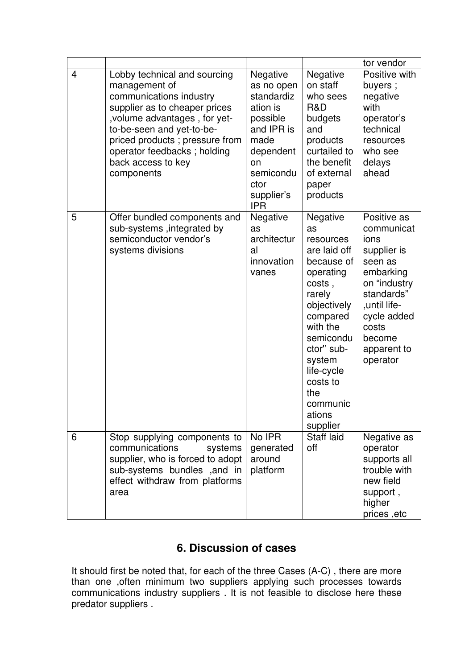|                |                                                                                                                                                                                                                                                                               |                                                                                                                                                        |                                                                                                                                                                                                                                           | tor vendor                                                                                                                                                                          |
|----------------|-------------------------------------------------------------------------------------------------------------------------------------------------------------------------------------------------------------------------------------------------------------------------------|--------------------------------------------------------------------------------------------------------------------------------------------------------|-------------------------------------------------------------------------------------------------------------------------------------------------------------------------------------------------------------------------------------------|-------------------------------------------------------------------------------------------------------------------------------------------------------------------------------------|
| $\overline{4}$ | Lobby technical and sourcing<br>management of<br>communications industry<br>supplier as to cheaper prices<br>, volume advantages, for yet-<br>to-be-seen and yet-to-be-<br>priced products ; pressure from<br>operator feedbacks; holding<br>back access to key<br>components | Negative<br>as no open<br>standardiz<br>ation is<br>possible<br>and IPR is<br>made<br>dependent<br>on<br>semicondu<br>ctor<br>supplier's<br><b>IPR</b> | Negative<br>on staff<br>who sees<br>R&D<br>budgets<br>and<br>products<br>curtailed to<br>the benefit<br>of external<br>paper<br>products                                                                                                  | Positive with<br>buyers;<br>negative<br>with<br>operator's<br>technical<br>resources<br>who see<br>delays<br>ahead                                                                  |
| 5              | Offer bundled components and<br>sub-systems , integrated by<br>semiconductor vendor's<br>systems divisions                                                                                                                                                                    | Negative<br>as<br>architectur<br>al<br>innovation<br>vanes                                                                                             | Negative<br>as<br>resources<br>are laid off<br>because of<br>operating<br>costs,<br>rarely<br>objectively<br>compared<br>with the<br>semicondu<br>ctor" sub-<br>system<br>life-cycle<br>costs to<br>the<br>communic<br>ations<br>supplier | Positive as<br>communicat<br>ions<br>supplier is<br>seen as<br>embarking<br>on "industry<br>standards"<br>,until life-<br>cycle added<br>costs<br>become<br>apparent to<br>operator |
| 6              | Stop supplying components to<br>communications<br>systems<br>supplier, who is forced to adopt<br>sub-systems bundles , and in<br>effect withdraw from platforms<br>area                                                                                                       | No IPR<br>generated<br>around<br>platform                                                                                                              | Staff laid<br>off                                                                                                                                                                                                                         | Negative as<br>operator<br>supports all<br>trouble with<br>new field<br>support,<br>higher<br>prices, etc                                                                           |

### **6. Discussion of cases**

It should first be noted that, for each of the three Cases (A-C) , there are more than one ,often minimum two suppliers applying such processes towards communications industry suppliers . It is not feasible to disclose here these predator suppliers .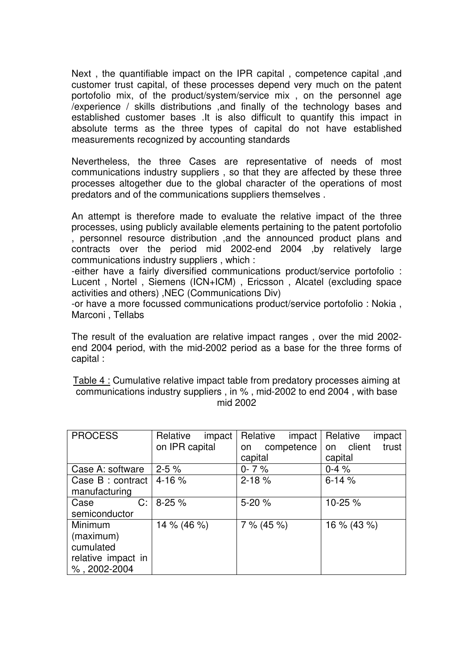Next , the quantifiable impact on the IPR capital , competence capital ,and customer trust capital, of these processes depend very much on the patent portofolio mix, of the product/system/service mix , on the personnel age /experience / skills distributions ,and finally of the technology bases and established customer bases .It is also difficult to quantify this impact in absolute terms as the three types of capital do not have established measurements recognized by accounting standards

Nevertheless, the three Cases are representative of needs of most communications industry suppliers , so that they are affected by these three processes altogether due to the global character of the operations of most predators and of the communications suppliers themselves .

An attempt is therefore made to evaluate the relative impact of the three processes, using publicly available elements pertaining to the patent portofolio , personnel resource distribution ,and the announced product plans and contracts over the period mid 2002-end 2004 ,by relatively large communications industry suppliers , which :

-either have a fairly diversified communications product/service portofolio : Lucent , Nortel , Siemens (ICN+ICM) , Ericsson , Alcatel (excluding space activities and others) ,NEC (Communications Div)

-or have a more focussed communications product/service portofolio : Nokia , Marconi , Tellabs

The result of the evaluation are relative impact ranges , over the mid 2002 end 2004 period, with the mid-2002 period as a base for the three forms of capital :

Table 4 : Cumulative relative impact table from predatory processes aiming at communications industry suppliers , in % , mid-2002 to end 2004 , with base mid 2002

| <b>PROCESS</b>     | Relative<br>impact | Relative<br>impact | Relative<br>impact |
|--------------------|--------------------|--------------------|--------------------|
|                    | on IPR capital     | competence<br>on   | on client<br>trust |
|                    |                    | capital            | capital            |
| Case A: software   | $2 - 5%$           | $0 - 7%$           | $0-4%$             |
| Case B : contract  | $4 - 16%$          | $2 - 18%$          | $6 - 14%$          |
| manufacturing      |                    |                    |                    |
| C:<br>Case         | $8-25%$            | $5-20%$            | 10-25 %            |
| semiconductor      |                    |                    |                    |
| <b>Minimum</b>     | 14 % (46 %)        | 7% (45%)           | $16\% (43\%)$      |
| (maximum)          |                    |                    |                    |
| cumulated          |                    |                    |                    |
| relative impact in |                    |                    |                    |
| $%$ , 2002-2004    |                    |                    |                    |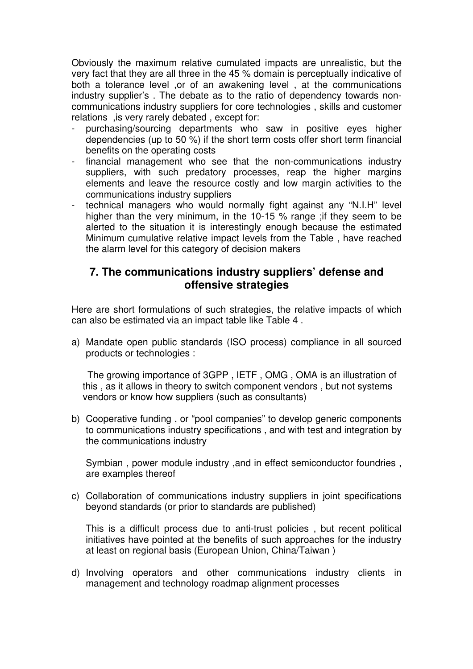Obviously the maximum relative cumulated impacts are unrealistic, but the very fact that they are all three in the 45 % domain is perceptually indicative of both a tolerance level ,or of an awakening level , at the communications industry supplier's . The debate as to the ratio of dependency towards noncommunications industry suppliers for core technologies , skills and customer relations ,is very rarely debated , except for:

- purchasing/sourcing departments who saw in positive eyes higher dependencies (up to 50 %) if the short term costs offer short term financial benefits on the operating costs
- financial management who see that the non-communications industry suppliers, with such predatory processes, reap the higher margins elements and leave the resource costly and low margin activities to the communications industry suppliers
- technical managers who would normally fight against any "N.I.H" level higher than the very minimum, in the 10-15 % range ;if they seem to be alerted to the situation it is interestingly enough because the estimated Minimum cumulative relative impact levels from the Table , have reached the alarm level for this category of decision makers

#### **7. The communications industry suppliers' defense and offensive strategies**

Here are short formulations of such strategies, the relative impacts of which can also be estimated via an impact table like Table 4 .

a) Mandate open public standards (ISO process) compliance in all sourced products or technologies :

 The growing importance of 3GPP , IETF , OMG , OMA is an illustration of this , as it allows in theory to switch component vendors , but not systems vendors or know how suppliers (such as consultants)

b) Cooperative funding , or "pool companies" to develop generic components to communications industry specifications , and with test and integration by the communications industry

Symbian , power module industry ,and in effect semiconductor foundries , are examples thereof

c) Collaboration of communications industry suppliers in joint specifications beyond standards (or prior to standards are published)

This is a difficult process due to anti-trust policies , but recent political initiatives have pointed at the benefits of such approaches for the industry at least on regional basis (European Union, China/Taiwan )

d) Involving operators and other communications industry clients in management and technology roadmap alignment processes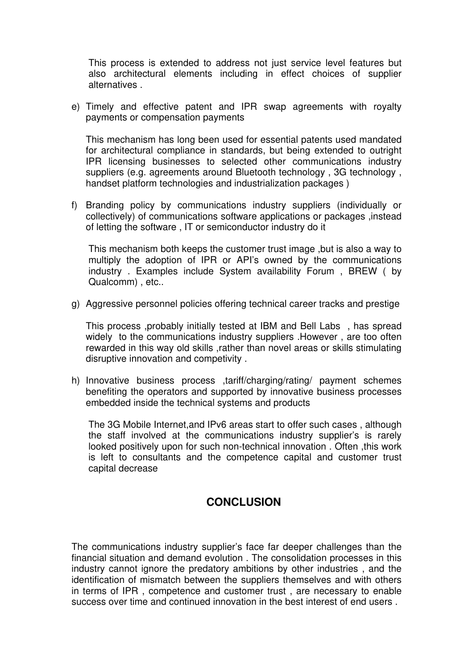This process is extended to address not just service level features but also architectural elements including in effect choices of supplier alternatives .

e) Timely and effective patent and IPR swap agreements with royalty payments or compensation payments

This mechanism has long been used for essential patents used mandated for architectural compliance in standards, but being extended to outright IPR licensing businesses to selected other communications industry suppliers (e.g. agreements around Bluetooth technology , 3G technology , handset platform technologies and industrialization packages )

f) Branding policy by communications industry suppliers (individually or collectively) of communications software applications or packages ,instead of letting the software , IT or semiconductor industry do it

This mechanism both keeps the customer trust image ,but is also a way to multiply the adoption of IPR or API's owned by the communications industry . Examples include System availability Forum , BREW ( by Qualcomm) , etc..

g) Aggressive personnel policies offering technical career tracks and prestige

This process ,probably initially tested at IBM and Bell Labs , has spread widely to the communications industry suppliers .However , are too often rewarded in this way old skills ,rather than novel areas or skills stimulating disruptive innovation and competivity .

h) Innovative business process ,tariff/charging/rating/ payment schemes benefiting the operators and supported by innovative business processes embedded inside the technical systems and products

The 3G Mobile Internet,and IPv6 areas start to offer such cases , although the staff involved at the communications industry supplier's is rarely looked positively upon for such non-technical innovation . Often, this work is left to consultants and the competence capital and customer trust capital decrease

#### **CONCLUSION**

The communications industry supplier's face far deeper challenges than the financial situation and demand evolution . The consolidation processes in this industry cannot ignore the predatory ambitions by other industries , and the identification of mismatch between the suppliers themselves and with others in terms of IPR , competence and customer trust , are necessary to enable success over time and continued innovation in the best interest of end users .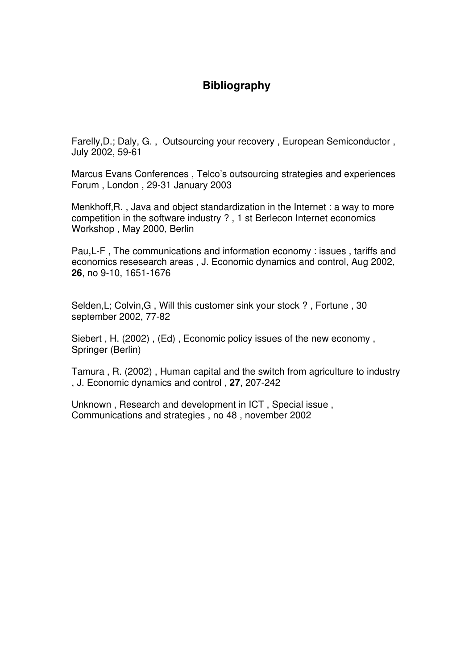#### **Bibliography**

Farelly,D.; Daly, G. , Outsourcing your recovery , European Semiconductor , July 2002, 59-61

Marcus Evans Conferences , Telco's outsourcing strategies and experiences Forum , London , 29-31 January 2003

Menkhoff,R. , Java and object standardization in the Internet : a way to more competition in the software industry ? , 1 st Berlecon Internet economics Workshop , May 2000, Berlin

Pau,L-F , The communications and information economy : issues , tariffs and economics resesearch areas , J. Economic dynamics and control, Aug 2002, **26**, no 9-10, 1651-1676

Selden,L; Colvin,G , Will this customer sink your stock ? , Fortune , 30 september 2002, 77-82

Siebert , H. (2002) , (Ed) , Economic policy issues of the new economy , Springer (Berlin)

Tamura , R. (2002) , Human capital and the switch from agriculture to industry , J. Economic dynamics and control , **27**, 207-242

Unknown , Research and development in ICT , Special issue , Communications and strategies , no 48 , november 2002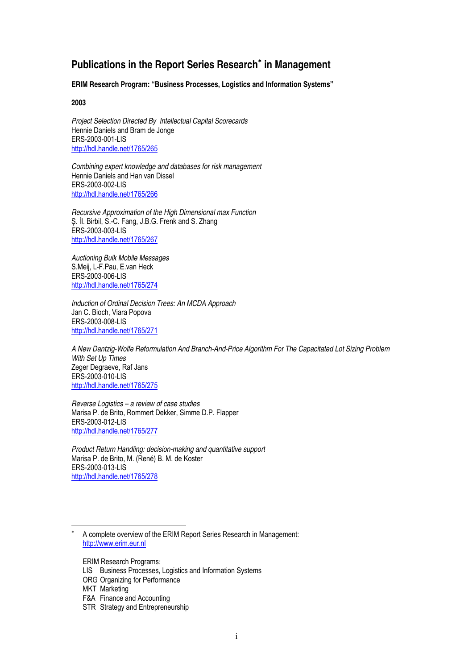### **Publications in the Report Series Research**<sup>∗</sup>  **in Management**

**ERIM Research Program: "Business Processes, Logistics and Information Systems"** 

**2003** 

Project Selection Directed By Intellectual Capital Scorecards Hennie Daniels and Bram de Jonge ERS-2003-001-LIS http://hdl.handle.net/1765/265

Combining expert knowledge and databases for risk management Hennie Daniels and Han van Dissel ERS-2003-002-LIS http://hdl.handle.net/1765/266

Recursive Approximation of the High Dimensional max Function Ş. İI. Birbil, S.-C. Fang, J.B.G. Frenk and S. Zhang ERS-2003-003-LIS http://hdl.handle.net/1765/267

Auctioning Bulk Mobile Messages S.Meij, L-F.Pau, E.van Heck ERS-2003-006-LIS http://hdl.handle.net/1765/274

Induction of Ordinal Decision Trees: An MCDA Approach Jan C. Bioch, Viara Popova ERS-2003-008-LIS http://hdl.handle.net/1765/271

A New Dantzig-Wolfe Reformulation And Branch-And-Price Algorithm For The Capacitated Lot Sizing Problem With Set Up Times Zeger Degraeve, Raf Jans ERS-2003-010-LIS http://hdl.handle.net/1765/275

Reverse Logistics – a review of case studies Marisa P. de Brito, Rommert Dekker, Simme D.P. Flapper ERS-2003-012-LIS http://hdl.handle.net/1765/277

Product Return Handling: decision-making and quantitative support Marisa P. de Brito, M. (René) B. M. de Koster ERS-2003-013-LIS http://hdl.handle.net/1765/278

ERIM Research Programs:

l

<sup>∗</sup> A complete overview of the ERIM Report Series Research in Management: http://www.erim.eur.nl

LIS Business Processes, Logistics and Information Systems

ORG Organizing for Performance

MKT Marketing

F&A Finance and Accounting

STR Strategy and Entrepreneurship